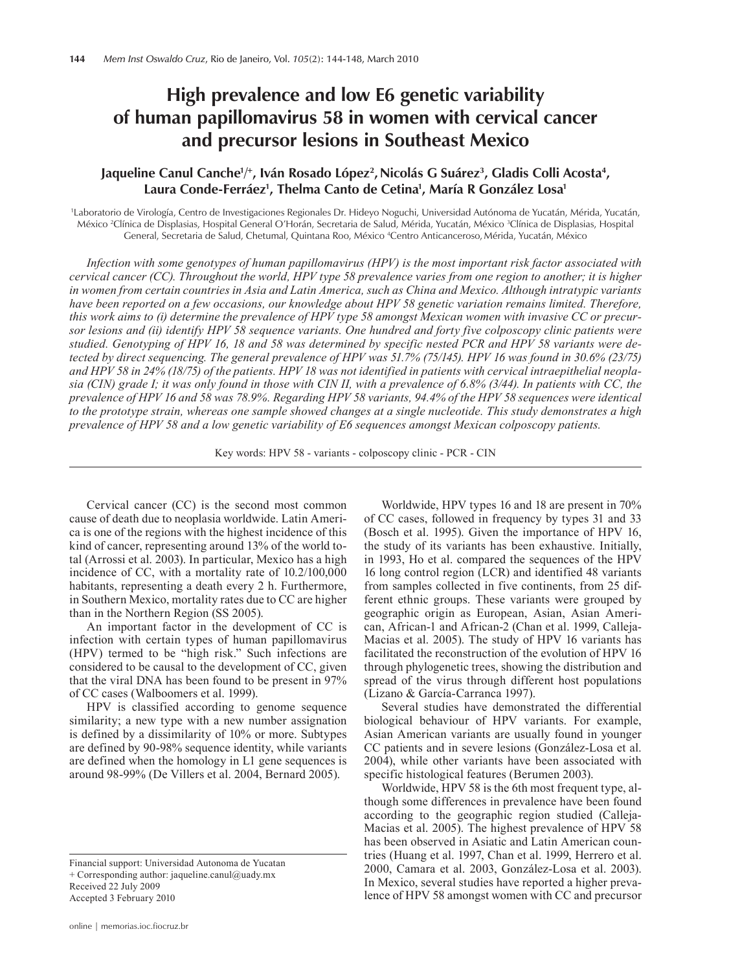# **High prevalence and low E6 genetic variability of human papillomavirus 58 in women with cervical cancer and precursor lesions in Southeast Mexico**

# Jaqueline Canul Canche½, Iván Rosado López², Nicolás G Suárez¾, Gladis Colli Acosta4, **Laura Conde-Ferráez1 , Thelma Canto de Cetina1 , María R González Losa1**

1 Laboratorio de Virología, Centro de Investigaciones Regionales Dr. Hideyo Noguchi, Universidad Autónoma de Yucatán, Mérida, Yucatán, México <sup>2</sup>Clínica de Displasias, Hospital General O'Horán, Secretaria de Salud, Mérida, Yucatán, México <sup>3</sup>Clínica de Displasias, Hospital General, Secretaria de Salud, Chetumal, Quintana Roo, México <sup>4</sup>Centro Anticanceroso, Mérida, Yucatán, México

*Infection with some genotypes of human papillomavirus (HPV) is the most important risk factor associated with cervical cancer (CC). Throughout the world, HPV type 58 prevalence varies from one region to another; it is higher in women from certain countries in Asia and Latin America, such as China and Mexico. Although intratypic variants have been reported on a few occasions, our knowledge about HPV 58 genetic variation remains limited. Therefore, this work aims to (i) determine the prevalence of HPV type 58 amongst Mexican women with invasive CC or precursor lesions and (ii) identify HPV 58 sequence variants. One hundred and forty five colposcopy clinic patients were studied. Genotyping of HPV 16, 18 and 58 was determined by specific nested PCR and HPV 58 variants were detected by direct sequencing. The general prevalence of HPV was 51.7% (75/145). HPV 16 was found in 30.6% (23/75) and HPV 58 in 24% (18/75) of the patients. HPV 18 was not identified in patients with cervical intraepithelial neoplasia (CIN) grade I; it was only found in those with CIN II, with a prevalence of 6.8% (3/44). In patients with CC, the prevalence of HPV 16 and 58 was 78.9%. Regarding HPV 58 variants, 94.4% of the HPV 58 sequences were identical to the prototype strain, whereas one sample showed changes at a single nucleotide. This study demonstrates a high prevalence of HPV 58 and a low genetic variability of E6 sequences amongst Mexican colposcopy patients.*

Key words: HPV 58 - variants - colposcopy clinic - PCR - CIN

Cervical cancer (CC) is the second most common cause of death due to neoplasia worldwide. Latin America is one of the regions with the highest incidence of this kind of cancer, representing around 13% of the world total (Arrossi et al. 2003). In particular, Mexico has a high incidence of CC, with a mortality rate of 10.2/100,000 habitants, representing a death every 2 h. Furthermore, in Southern Mexico, mortality rates due to CC are higher than in the Northern Region (SS 2005).

An important factor in the development of CC is infection with certain types of human papillomavirus (HPV) termed to be "high risk." Such infections are considered to be causal to the development of CC, given that the viral DNA has been found to be present in 97% of CC cases (Walboomers et al. 1999).

HPV is classified according to genome sequence similarity; a new type with a new number assignation is defined by a dissimilarity of 10% or more. Subtypes are defined by 90-98% sequence identity, while variants are defined when the homology in L1 gene sequences is around 98-99% (De Villers et al. 2004, Bernard 2005).

Financial support: Universidad Autonoma de Yucatan + Corresponding author: jaqueline.canul@uady.mx Received 22 July 2009 Accepted 3 February 2010

Worldwide, HPV types 16 and 18 are present in 70% of CC cases, followed in frequency by types 31 and 33 (Bosch et al. 1995). Given the importance of HPV 16, the study of its variants has been exhaustive. Initially, in 1993, Ho et al. compared the sequences of the HPV 16 long control region (LCR) and identified 48 variants from samples collected in five continents, from 25 different ethnic groups. These variants were grouped by geographic origin as European, Asian, Asian American, African-1 and African-2 (Chan et al. 1999, Calleja-Macias et al. 2005). The study of HPV 16 variants has facilitated the reconstruction of the evolution of HPV 16 through phylogenetic trees, showing the distribution and spread of the virus through different host populations (Lizano & García-Carranca 1997).

Several studies have demonstrated the differential biological behaviour of HPV variants. For example, Asian American variants are usually found in younger CC patients and in severe lesions (González-Losa et al. 2004), while other variants have been associated with specific histological features (Berumen 2003).

Worldwide, HPV 58 is the 6th most frequent type, although some differences in prevalence have been found according to the geographic region studied (Calleja-Macias et al. 2005). The highest prevalence of HPV 58 has been observed in Asiatic and Latin American countries (Huang et al. 1997, Chan et al. 1999, Herrero et al. 2000, Camara et al. 2003, González-Losa et al. 2003). In Mexico, several studies have reported a higher prevalence of HPV 58 amongst women with CC and precursor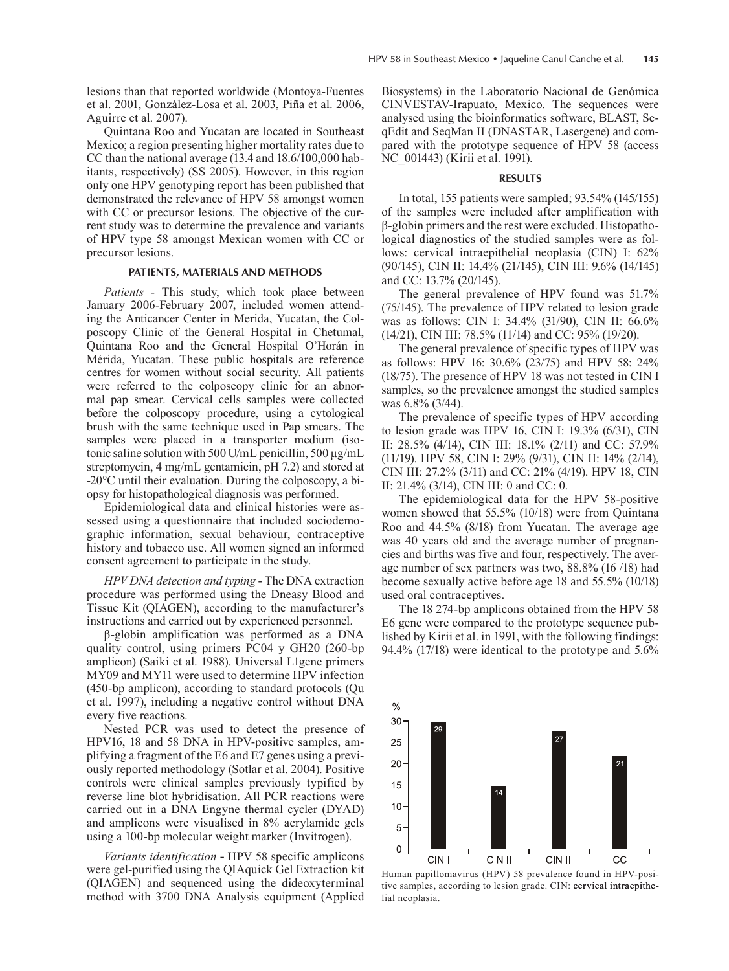lesions than that reported worldwide (Montoya-Fuentes et al. 2001, González-Losa et al. 2003, Piña et al. 2006, Aguirre et al. 2007).

Quintana Roo and Yucatan are located in Southeast Mexico; a region presenting higher mortality rates due to CC than the national average (13.4 and 18.6/100,000 habitants, respectively) (SS 2005). However, in this region only one HPV genotyping report has been published that demonstrated the relevance of HPV 58 amongst women with CC or precursor lesions. The objective of the current study was to determine the prevalence and variants of HPV type 58 amongst Mexican women with CC or precursor lesions.

#### **PATIENTS, Materials and Methods**

*Patients* - This study, which took place between January 2006-February 2007, included women attending the Anticancer Center in Merida, Yucatan, the Colposcopy Clinic of the General Hospital in Chetumal, Quintana Roo and the General Hospital O'Horán in Mérida, Yucatan. These public hospitals are reference centres for women without social security. All patients were referred to the colposcopy clinic for an abnormal pap smear. Cervical cells samples were collected before the colposcopy procedure, using a cytological brush with the same technique used in Pap smears. The samples were placed in a transporter medium (isotonic saline solution with 500 U/mL penicillin, 500 µg/mL streptomycin, 4 mg/mL gentamicin, pH 7.2) and stored at -20°C until their evaluation. During the colposcopy, a biopsy for histopathological diagnosis was performed.

Epidemiological data and clinical histories were assessed using a questionnaire that included sociodemographic information, sexual behaviour, contraceptive history and tobacco use. All women signed an informed consent agreement to participate in the study.

*HPV DNA detection and typing* - The DNA extraction procedure was performed using the Dneasy Blood and Tissue Kit (QIAGEN), according to the manufacturer's instructions and carried out by experienced personnel.

β-globin amplification was performed as a DNA quality control, using primers PC04 y GH20 (260-bp amplicon) (Saiki et al. 1988). Universal L1gene primers MY09 and MY11 were used to determine HPV infection (450-bp amplicon), according to standard protocols (Qu et al. 1997), including a negative control without DNA every five reactions.

Nested PCR was used to detect the presence of HPV16, 18 and 58 DNA in HPV-positive samples, amplifying a fragment of the E6 and E7 genes using a previously reported methodology (Sotlar et al. 2004). Positive controls were clinical samples previously typified by reverse line blot hybridisation. All PCR reactions were carried out in a DNA Engyne thermal cycler (DYAD) and amplicons were visualised in 8% acrylamide gels using a 100-bp molecular weight marker (Invitrogen).

*Variants identification* **-** HPV 58 specific amplicons were gel-purified using the QIAquick Gel Extraction kit (QIAGEN) and sequenced using the dideoxyterminal method with 3700 DNA Analysis equipment (Applied Biosystems) in the Laboratorio Nacional de Genómica CINVESTAV-Irapuato, Mexico. The sequences were analysed using the bioinformatics software, BLAST, SeqEdit and SeqMan II (DNASTAR, Lasergene) and compared with the prototype sequence of HPV 58 (access NC 001443) (Kirii et al. 1991).

#### **Results**

In total, 155 patients were sampled; 93.54% (145/155) of the samples were included after amplification with β-globin primers and the rest were excluded. Histopathological diagnostics of the studied samples were as follows: cervical intraepithelial neoplasia (CIN) I: 62% (90/145), CIN II: 14.4% (21/145), CIN III: 9.6% (14/145) and CC: 13.7% (20/145).

The general prevalence of HPV found was 51.7% (75/145). The prevalence of HPV related to lesion grade was as follows: CIN I: 34.4% (31/90), CIN II: 66.6% (14/21), CIN III: 78.5% (11/14) and CC: 95% (19/20).

The general prevalence of specific types of HPV was as follows: HPV 16: 30.6% (23/75) and HPV 58: 24% (18/75). The presence of HPV 18 was not tested in CIN I samples, so the prevalence amongst the studied samples was 6.8% (3/44).

The prevalence of specific types of HPV according to lesion grade was HPV 16, CIN I: 19.3% (6/31), CIN II: 28.5% (4/14), CIN III: 18.1% (2/11) and CC: 57.9% (11/19). HPV 58, CIN I: 29% (9/31), CIN II: 14% (2/14), CIN III: 27.2% (3/11) and CC: 21% (4/19). HPV 18, CIN II: 21.4% (3/14), CIN III: 0 and CC: 0.

The epidemiological data for the HPV 58-positive women showed that 55.5% (10/18) were from Quintana Roo and 44.5% (8/18) from Yucatan. The average age was 40 years old and the average number of pregnancies and births was five and four, respectively. The average number of sex partners was two, 88.8% (16 /18) had become sexually active before age 18 and 55.5% (10/18) used oral contraceptives.

The 18 274-bp amplicons obtained from the HPV 58 E6 gene were compared to the prototype sequence published by Kirii et al. in 1991, with the following findings: 94.4% (17/18) were identical to the prototype and 5.6%



Human papillomavirus (HPV) 58 prevalence found in HPV-positive samples, according to lesion grade. CIN: cervical intraepithelial neoplasia.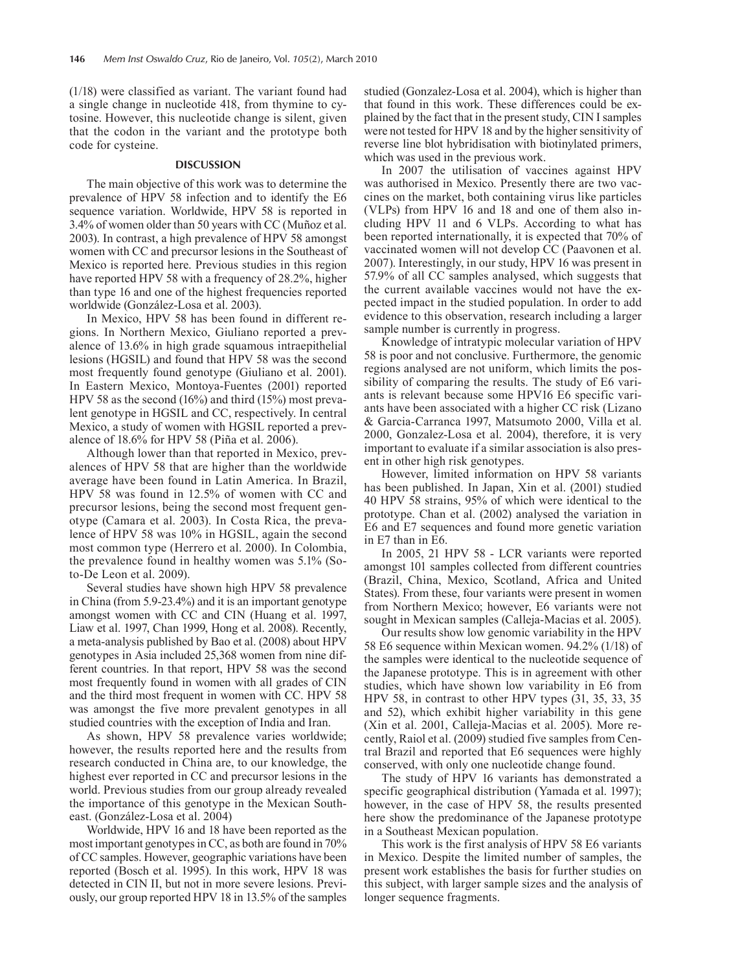(1/18) were classified as variant. The variant found had a single change in nucleotide 418, from thymine to cytosine. However, this nucleotide change is silent, given that the codon in the variant and the prototype both code for cysteine.

## **Discussion**

The main objective of this work was to determine the prevalence of HPV 58 infection and to identify the E6 sequence variation. Worldwide, HPV 58 is reported in 3.4% of women older than 50 years with CC (Muñoz et al. 2003). In contrast, a high prevalence of HPV 58 amongst women with CC and precursor lesions in the Southeast of Mexico is reported here. Previous studies in this region have reported HPV 58 with a frequency of 28.2%, higher than type 16 and one of the highest frequencies reported worldwide (González-Losa et al. 2003).

In Mexico, HPV 58 has been found in different regions. In Northern Mexico, Giuliano reported a prevalence of 13.6% in high grade squamous intraepithelial lesions (HGSIL) and found that HPV 58 was the second most frequently found genotype (Giuliano et al. 2001). In Eastern Mexico, Montoya-Fuentes (2001) reported HPV 58 as the second (16%) and third (15%) most prevalent genotype in HGSIL and CC, respectively. In central Mexico, a study of women with HGSIL reported a prevalence of 18.6% for HPV 58 (Piña et al. 2006).

Although lower than that reported in Mexico, prevalences of HPV 58 that are higher than the worldwide average have been found in Latin America. In Brazil, HPV 58 was found in 12.5% of women with CC and precursor lesions, being the second most frequent genotype (Camara et al. 2003). In Costa Rica, the prevalence of HPV 58 was 10% in HGSIL, again the second most common type (Herrero et al. 2000). In Colombia, the prevalence found in healthy women was 5.1% (Soto-De Leon et al. 2009).

Several studies have shown high HPV 58 prevalence in China (from 5.9-23.4%) and it is an important genotype amongst women with CC and CIN (Huang et al. 1997, Liaw et al. 1997, Chan 1999, Hong et al. 2008). Recently, a meta-analysis published by Bao et al. (2008) about HPV genotypes in Asia included 25,368 women from nine different countries. In that report, HPV 58 was the second most frequently found in women with all grades of CIN and the third most frequent in women with CC. HPV 58 was amongst the five more prevalent genotypes in all studied countries with the exception of India and Iran.

As shown, HPV 58 prevalence varies worldwide; however, the results reported here and the results from research conducted in China are, to our knowledge, the highest ever reported in CC and precursor lesions in the world. Previous studies from our group already revealed the importance of this genotype in the Mexican Southeast. (González-Losa et al. 2004)

Worldwide, HPV 16 and 18 have been reported as the most important genotypes in CC, as both are found in 70% of CC samples. However, geographic variations have been reported (Bosch et al. 1995). In this work, HPV 18 was detected in CIN II, but not in more severe lesions. Previously, our group reported HPV 18 in 13.5% of the samples studied (Gonzalez-Losa et al. 2004), which is higher than that found in this work. These differences could be explained by the fact that in the present study, CIN I samples were not tested for HPV 18 and by the higher sensitivity of reverse line blot hybridisation with biotinylated primers, which was used in the previous work.

In 2007 the utilisation of vaccines against HPV was authorised in Mexico. Presently there are two vaccines on the market, both containing virus like particles (VLPs) from HPV 16 and 18 and one of them also including HPV 11 and 6 VLPs. According to what has been reported internationally, it is expected that 70% of vaccinated women will not develop CC (Paavonen et al. 2007). Interestingly, in our study, HPV 16 was present in 57.9% of all CC samples analysed, which suggests that the current available vaccines would not have the expected impact in the studied population. In order to add evidence to this observation, research including a larger sample number is currently in progress.

Knowledge of intratypic molecular variation of HPV 58 is poor and not conclusive. Furthermore, the genomic regions analysed are not uniform, which limits the possibility of comparing the results. The study of E6 variants is relevant because some HPV16 E6 specific variants have been associated with a higher CC risk (Lizano & Garcia-Carranca 1997, Matsumoto 2000, Villa et al. 2000, Gonzalez-Losa et al. 2004), therefore, it is very important to evaluate if a similar association is also present in other high risk genotypes.

However, limited information on HPV 58 variants has been published. In Japan, Xin et al. (2001) studied 40 HPV 58 strains, 95% of which were identical to the prototype. Chan et al. (2002) analysed the variation in E6 and E7 sequences and found more genetic variation in E7 than in E6.

In 2005, 21 HPV 58 - LCR variants were reported amongst 101 samples collected from different countries (Brazil, China, Mexico, Scotland, Africa and United States). From these, four variants were present in women from Northern Mexico; however, E6 variants were not sought in Mexican samples (Calleja-Macias et al. 2005).

Our results show low genomic variability in the HPV 58 E6 sequence within Mexican women. 94.2% (1/18) of the samples were identical to the nucleotide sequence of the Japanese prototype. This is in agreement with other studies, which have shown low variability in E6 from HPV 58, in contrast to other HPV types (31, 35, 33, 35 and 52), which exhibit higher variability in this gene (Xin et al. 2001, Calleja-Macias et al. 2005). More recently, Raiol et al. (2009) studied five samples from Central Brazil and reported that E6 sequences were highly conserved, with only one nucleotide change found.

The study of HPV 16 variants has demonstrated a specific geographical distribution (Yamada et al. 1997); however, in the case of HPV 58, the results presented here show the predominance of the Japanese prototype in a Southeast Mexican population.

This work is the first analysis of HPV 58 E6 variants in Mexico. Despite the limited number of samples, the present work establishes the basis for further studies on this subject, with larger sample sizes and the analysis of longer sequence fragments.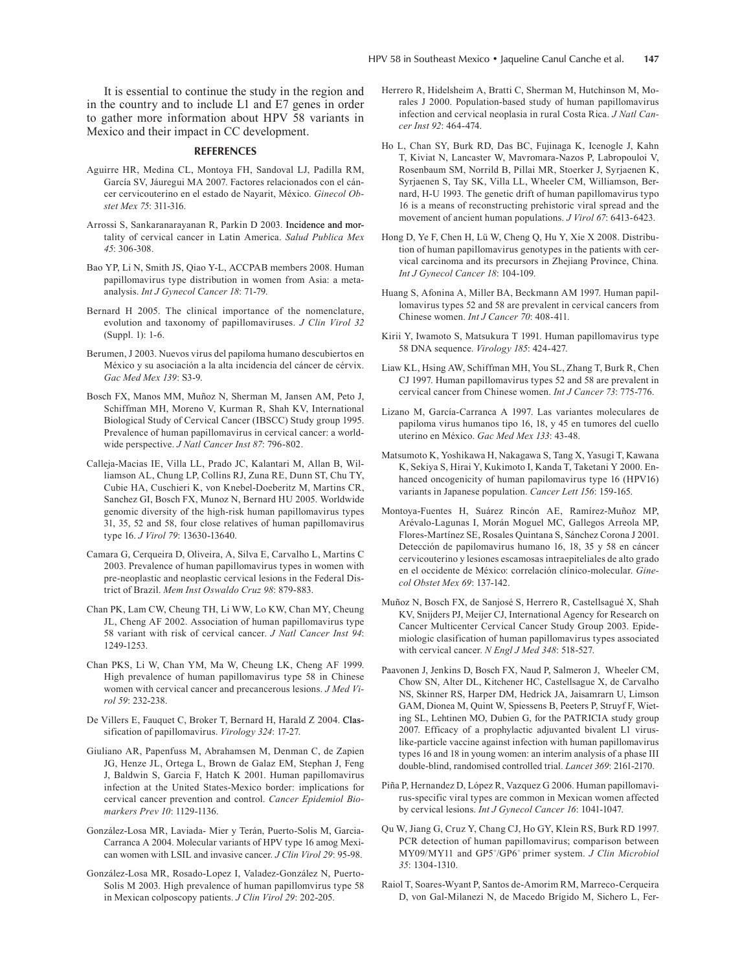It is essential to continue the study in the region and in the country and to include L1 and E7 genes in order to gather more information about HPV 58 variants in Mexico and their impact in CC development.

### **References**

- Aguirre HR, Medina CL, Montoya FH, Sandoval LJ, Padilla RM, García SV, Jáuregui MA 2007. Factores relacionados con el cáncer cervicouterino en el estado de Nayarit, México. *Ginecol Obstet Mex 75*: 311-316.
- Arrossi S, Sankaranarayanan R, Parkin D 2003. Incidence and mortality of cervical cancer in Latin America. *Salud Publica Mex 45*: 306-308.
- Bao YP, Li N, Smith JS, Qiao Y-L, ACCPAB members 2008. Human papillomavirus type distribution in women from Asia: a metaanalysis. *Int J Gynecol Cancer 18*: 71-79.
- Bernard H 2005. The clinical importance of the nomenclature, evolution and taxonomy of papillomaviruses. *J Clin Virol 32*  (Suppl. 1): 1-6.
- Berumen, J 2003. Nuevos virus del papiloma humano descubiertos en México y su asociación a la alta incidencia del cáncer de cérvix. *Gac Med Mex 139*: S3-9.
- Bosch FX, Manos MM, Muñoz N, Sherman M, Jansen AM, Peto J, Schiffman MH, Moreno V, Kurman R, Shah KV, International Biological Study of Cervical Cancer (IBSCC) Study group 1995. Prevalence of human papillomavirus in cervical cancer: a worldwide perspective. *J Natl Cancer Inst 87*: 796-802.
- Calleja-Macias IE, Villa LL, Prado JC, Kalantari M, Allan B, Williamson AL, Chung LP, Collins RJ, Zuna RE, Dunn ST, Chu TY, Cubie HA, Cuschieri K, von Knebel-Doeberitz M, Martins CR, Sanchez GI, Bosch FX, Munoz N, Bernard HU 2005. Worldwide genomic diversity of the high-risk human papillomavirus types 31, 35, 52 and 58, four close relatives of human papillomavirus type 16. *J Virol 79*: 13630-13640.
- Camara G, Cerqueira D, Oliveira, A, Silva E, Carvalho L, Martins C 2003. Prevalence of human papillomavirus types in women with pre-neoplastic and neoplastic cervical lesions in the Federal District of Brazil. *Mem Inst Oswaldo Cruz 98*: 879-883.
- Chan PK, Lam CW, Cheung TH, Li WW, Lo KW, Chan MY, Cheung JL, Cheng AF 2002. Association of human papillomavirus type 58 variant with risk of cervical cancer. *J Natl Cancer Inst 94*: 1249-1253.
- Chan PKS, Li W, Chan YM, Ma W, Cheung LK, Cheng AF 1999. High prevalence of human papillomavirus type 58 in Chinese women with cervical cancer and precancerous lesions. *J Med Virol 59*: 232-238.
- De Villers E, Fauquet C, Broker T, Bernard H, Harald Z 2004. Classification of papillomavirus. *Virology 324*: 17-27.
- Giuliano AR, Papenfuss M, Abrahamsen M, Denman C, de Zapien JG, Henze JL, Ortega L, Brown de Galaz EM, Stephan J, Feng J, Baldwin S, Garcia F, Hatch K 2001. Human papillomavirus infection at the United States-Mexico border: implications for cervical cancer prevention and control. *Cancer Epidemiol Biomarkers Prev 10*: 1129-1136.
- González-Losa MR, Laviada- Mier y Terán, Puerto-Solis M, Garcia-Carranca A 2004. Molecular variants of HPV type 16 amog Mexican women with LSIL and invasive cancer. *J Clin Virol 29*: 95-98.
- González-Losa MR, Rosado-Lopez I, Valadez-González N, Puerto-Solis M 2003. High prevalence of human papillomvirus type 58 in Mexican colposcopy patients. *J Clin Virol 29*: 202-205.
- Herrero R, Hidelsheim A, Bratti C, Sherman M, Hutchinson M, Morales J 2000. Population-based study of human papillomavirus infection and cervical neoplasia in rural Costa Rica. *J Natl Cancer Inst 92*: 464-474.
- Ho L, Chan SY, Burk RD, Das BC, Fujinaga K, Icenogle J, Kahn T, Kiviat N, Lancaster W, Mavromara-Nazos P, Labropouloi V, Rosenbaum SM, Norrild B, Pillai MR, Stoerker J, Syrjaenen K, Syrjaenen S, Tay SK, Villa LL, Wheeler CM, Williamson, Bernard, H-U 1993. The genetic drift of human papillomavirus typo 16 is a means of reconstructing prehistoric viral spread and the movement of ancient human populations. *J Virol 67*: 6413-6423.
- Hong D, Ye F, Chen H, Lü W, Cheng Q, Hu Y, Xie X 2008. Distribution of human papillomavirus genotypes in the patients with cervical carcinoma and its precursors in Zhejiang Province, China*. Int J Gynecol Cancer 18*: 104-109.
- Huang S, Afonina A, Miller BA, Beckmann AM 1997. Human papillomavirus types 52 and 58 are prevalent in cervical cancers from Chinese women. *Int J Cancer 70*: 408-411.
- Kirii Y, Iwamoto S, Matsukura T 1991. Human papillomavirus type 58 DNA sequence. *Virology 185*: 424-427.
- Liaw KL, Hsing AW, Schiffman MH, You SL, Zhang T, Burk R, Chen CJ 1997. Human papillomavirus types 52 and 58 are prevalent in cervical cancer from Chinese women. *Int J Cancer 73*: 775-776.
- Lizano M, García-Carranca A 1997. Las variantes moleculares de papiloma virus humanos tipo 16, 18, y 45 en tumores del cuello uterino en México. *Gac Med Mex 133*: 43-48.
- Matsumoto K, Yoshikawa H, Nakagawa S, Tang X, Yasugi T, Kawana K, Sekiya S, Hirai Y, Kukimoto I, Kanda T, Taketani Y 2000. Enhanced oncogenicity of human papilomavirus type 16 (HPV16) variants in Japanese population. *Cancer Lett 156*: 159-165.
- Montoya-Fuentes H, Suárez Rincón AE, Ramírez-Muñoz MP, Arévalo-Lagunas I, Morán Moguel MC, Gallegos Arreola MP, Flores-Martínez SE, Rosales Quintana S, Sánchez Corona J 2001. Detección de papilomavirus humano 16, 18, 35 y 58 en cáncer cervicouterino y lesiones escamosas intraepiteliales de alto grado en el occidente de México: correlación clínico-molecular. *Ginecol Obstet Mex 69*: 137-142.
- Muñoz N, Bosch FX, de Sanjosé S, Herrero R, Castellsagué X, Shah KV, Snijders PJ, Meijer CJ, International Agency for Research on Cancer Multicenter Cervical Cancer Study Group 2003. Epidemiologic clasification of human papillomavirus types associated with cervical cancer. *N Engl J Med 348*: 518-527.
- Paavonen J, Jenkins D, Bosch FX, Naud P, Salmeron J, Wheeler CM, Chow SN, Alter DL, Kitchener HC, Castellsague X, de Carvalho NS, Skinner RS, Harper DM, Hedrick JA, Jaisamrarn U, Limson GAM, Dionea M, Quint W, Spiessens B, Peeters P, Struyf F, Wieting SL, Lehtinen MO, Dubien G, for the PATRICIA study group 2007. Efficacy of a prophylactic adjuvanted bivalent L1 viruslike-particle vaccine against infection with human papillomavirus types 16 and 18 in young women: an interim analysis of a phase III double-blind, randomised controlled trial. *Lancet 369*: 2161-2170.
- Piña P, Hernandez D, López R, Vazquez G 2006. Human papillomavirus-specific viral types are common in Mexican women affected by cervical lesions. *Int J Gynecol Cancer 16*: 1041-1047.
- Qu W, Jiang G, Cruz Y, Chang CJ, Ho GY, Klein RS, Burk RD 1997. PCR detection of human papillomavirus; comparison between MY09/MY11 and GP5+/GP6+ primer system. *J Clin Microbiol 35*: 1304-1310.
- Raiol T, Soares-Wyant P, Santos de-Amorim RM, Marreco-Cerqueira D, von Gal-Milanezi N, de Macedo Brígido M, Sichero L, Fer-